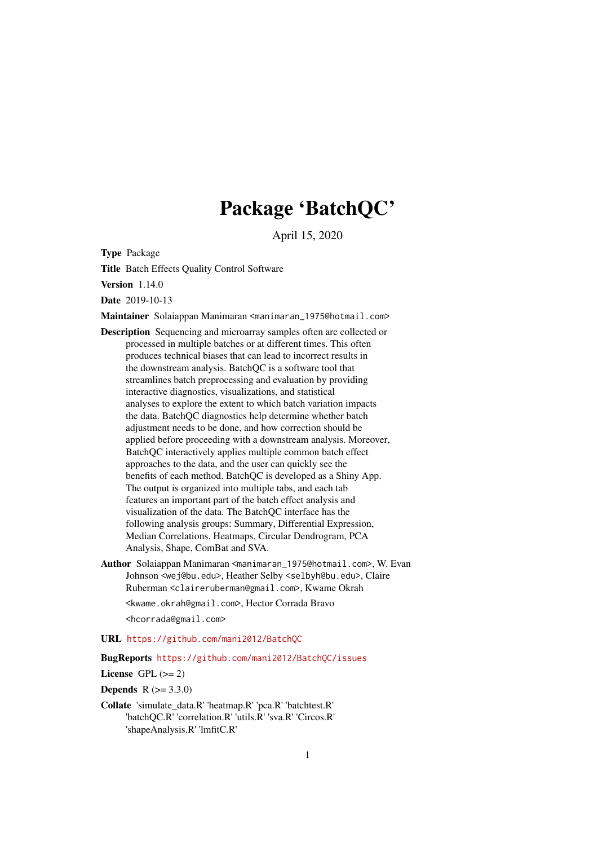## Package 'BatchQC'

April 15, 2020

Type Package

Title Batch Effects Quality Control Software

Version 1.14.0

Date 2019-10-13

Maintainer Solaiappan Manimaran <manimaran\_1975@hotmail.com>

- Description Sequencing and microarray samples often are collected or processed in multiple batches or at different times. This often produces technical biases that can lead to incorrect results in the downstream analysis. BatchQC is a software tool that streamlines batch preprocessing and evaluation by providing interactive diagnostics, visualizations, and statistical analyses to explore the extent to which batch variation impacts the data. BatchQC diagnostics help determine whether batch adjustment needs to be done, and how correction should be applied before proceeding with a downstream analysis. Moreover, BatchQC interactively applies multiple common batch effect approaches to the data, and the user can quickly see the benefits of each method. BatchQC is developed as a Shiny App. The output is organized into multiple tabs, and each tab features an important part of the batch effect analysis and visualization of the data. The BatchQC interface has the following analysis groups: Summary, Differential Expression, Median Correlations, Heatmaps, Circular Dendrogram, PCA Analysis, Shape, ComBat and SVA.
- Author Solaiappan Manimaran <manimaran\_1975@hotmail.com>, W. Evan Johnson <wej@bu.edu>, Heather Selby <selbyh@bu.edu>, Claire Ruberman <claireruberman@gmail.com>, Kwame Okrah <kwame.okrah@gmail.com>, Hector Corrada Bravo <hcorrada@gmail.com>

URL <https://github.com/mani2012/BatchQC>

BugReports <https://github.com/mani2012/BatchQC/issues>

License GPL  $(>= 2)$ 

**Depends**  $R (= 3.3.0)$ 

Collate 'simulate\_data.R' 'heatmap.R' 'pca.R' 'batchtest.R' 'batchQC.R' 'correlation.R' 'utils.R' 'sva.R' 'Circos.R' 'shapeAnalysis.R' 'lmfitC.R'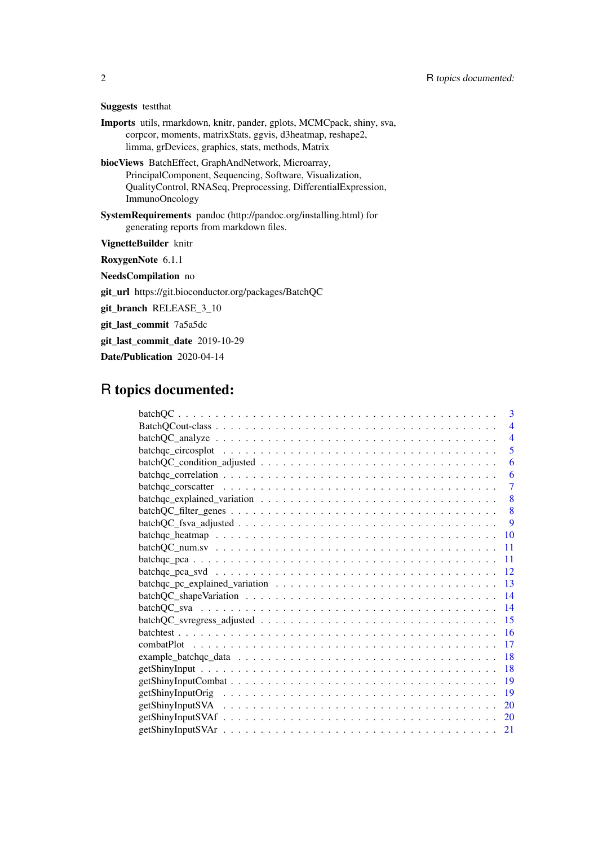| <b>Suggests</b> testthat |  |
|--------------------------|--|
|--------------------------|--|

- Imports utils, rmarkdown, knitr, pander, gplots, MCMCpack, shiny, sva, corpcor, moments, matrixStats, ggvis, d3heatmap, reshape2, limma, grDevices, graphics, stats, methods, Matrix
- biocViews BatchEffect, GraphAndNetwork, Microarray, PrincipalComponent, Sequencing, Software, Visualization, QualityControl, RNASeq, Preprocessing, DifferentialExpression, ImmunoOncology
- SystemRequirements pandoc (http://pandoc.org/installing.html) for generating reports from markdown files.

VignetteBuilder knitr

RoxygenNote 6.1.1

NeedsCompilation no

git\_url https://git.bioconductor.org/packages/BatchQC

git\_branch RELEASE\_3\_10

git\_last\_commit 7a5a5dc

git\_last\_commit\_date 2019-10-29

Date/Publication 2020-04-14

## R topics documented:

| 3                                                                                                                               |
|---------------------------------------------------------------------------------------------------------------------------------|
| $\overline{\mathcal{A}}$                                                                                                        |
| $batchQC\_analyze \dots \dots \dots \dots \dots \dots \dots \dots \dots \dots \dots \dots \dots \dots \dots \dots$<br>4         |
| 5                                                                                                                               |
| $batchQC\_condition\_adjusted \dots \dots \dots \dots \dots \dots \dots \dots \dots \dots \dots \dots \dots$<br>6               |
| 6                                                                                                                               |
| $\overline{7}$                                                                                                                  |
| 8                                                                                                                               |
| 8                                                                                                                               |
| 9                                                                                                                               |
| <b>10</b>                                                                                                                       |
| 11                                                                                                                              |
| $batchqc_pca \dots \dots \dots \dots \dots \dots \dots \dots \dots \dots \dots \dots \dots \dots \dots \dots \dots \dots$<br>11 |
| 12                                                                                                                              |
| 13                                                                                                                              |
| 14                                                                                                                              |
| 14                                                                                                                              |
| 15                                                                                                                              |
| 16                                                                                                                              |
| 17                                                                                                                              |
| 18                                                                                                                              |
| 18                                                                                                                              |
| 19                                                                                                                              |
| 19                                                                                                                              |
| 20                                                                                                                              |
| 20                                                                                                                              |
| 21                                                                                                                              |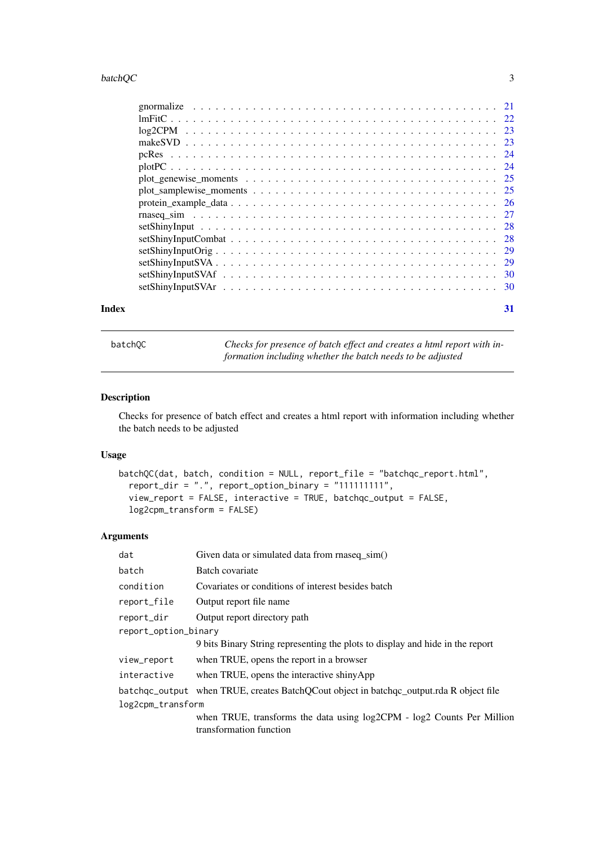#### <span id="page-2-0"></span>batchQC 3

| $setShinyInputStream \ldots \ldots \ldots \ldots \ldots \ldots \ldots \ldots \ldots \ldots \ldots \ldots \ldots 30$ |  |
|---------------------------------------------------------------------------------------------------------------------|--|
| $setShinyInputStream \ldots \ldots \ldots \ldots \ldots \ldots \ldots \ldots \ldots \ldots \ldots \ldots \ldots 30$ |  |
|                                                                                                                     |  |

#### **Index** [31](#page-30-0)

batchQC *Checks for presence of batch effect and creates a html report with information including whether the batch needs to be adjusted*

### Description

Checks for presence of batch effect and creates a html report with information including whether the batch needs to be adjusted

### Usage

```
batchQC(dat, batch, condition = NULL, report_file = "batchqc_report.html",
  report_dir = ".", report_option_binary = "111111111",
  view_report = FALSE, interactive = TRUE, batchqc_output = FALSE,
  log2cpm_transform = FALSE)
```
### Arguments

| dat                  | Given data or simulated data from rnaseq_sim()                                          |  |
|----------------------|-----------------------------------------------------------------------------------------|--|
| batch                | Batch covariate                                                                         |  |
| condition            | Covariates or conditions of interest besides batch                                      |  |
| report_file          | Output report file name                                                                 |  |
| report_dir           | Output report directory path                                                            |  |
| report_option_binary |                                                                                         |  |
|                      | 9 bits Binary String representing the plots to display and hide in the report           |  |
| view_report          | when TRUE, opens the report in a browser                                                |  |
| interactive          | when TRUE, opens the interactive shinyApp                                               |  |
|                      | batchgc_output when TRUE, creates BatchQCout object in batchgc_output.rda R object file |  |
| log2cpm_transform    |                                                                                         |  |
|                      | when TRUE, transforms the data using log2CPM - log2 Counts Per Million                  |  |
|                      | transformation function                                                                 |  |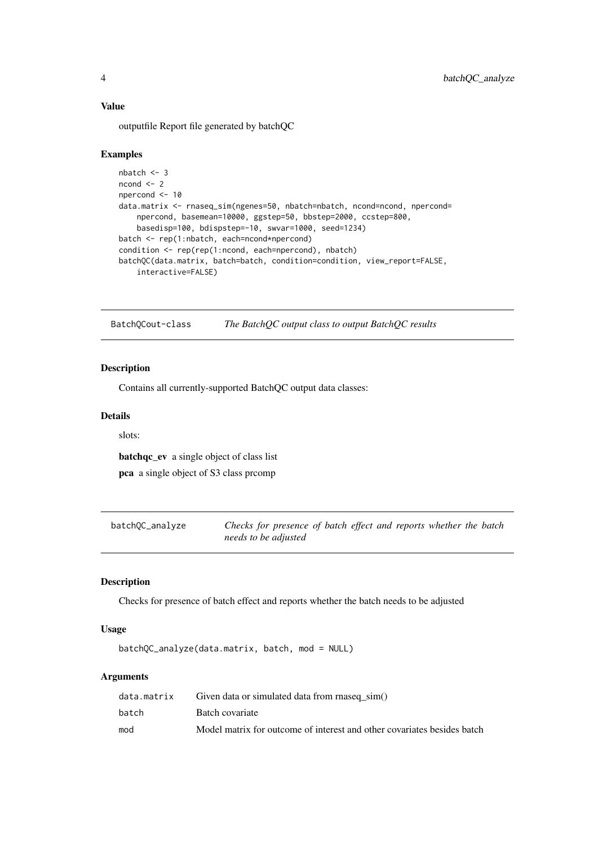outputfile Report file generated by batchQC

#### Examples

```
nbatch \leq -3ncond \leq -2npercond <- 10
data.matrix <- rnaseq_sim(ngenes=50, nbatch=nbatch, ncond=ncond, npercond=
    npercond, basemean=10000, ggstep=50, bbstep=2000, ccstep=800,
    basedisp=100, bdispstep=-10, swvar=1000, seed=1234)
batch <- rep(1:nbatch, each=ncond*npercond)
condition <- rep(rep(1:ncond, each=npercond), nbatch)
batchQC(data.matrix, batch=batch, condition=condition, view_report=FALSE,
    interactive=FALSE)
```
BatchQCout-class *The BatchQC output class to output BatchQC results*

### Description

Contains all currently-supported BatchQC output data classes:

### Details

slots:

batchqc\_ev a single object of class list

pca a single object of S3 class prcomp

batchQC\_analyze *Checks for presence of batch effect and reports whether the batch needs to be adjusted*

### Description

Checks for presence of batch effect and reports whether the batch needs to be adjusted

#### Usage

```
batchQC_analyze(data.matrix, batch, mod = NULL)
```
### Arguments

| data.matrix | Given data or simulated data from rnaseq sim()                          |
|-------------|-------------------------------------------------------------------------|
| batch       | Batch covariate                                                         |
| mod         | Model matrix for outcome of interest and other covariates besides batch |

<span id="page-3-0"></span>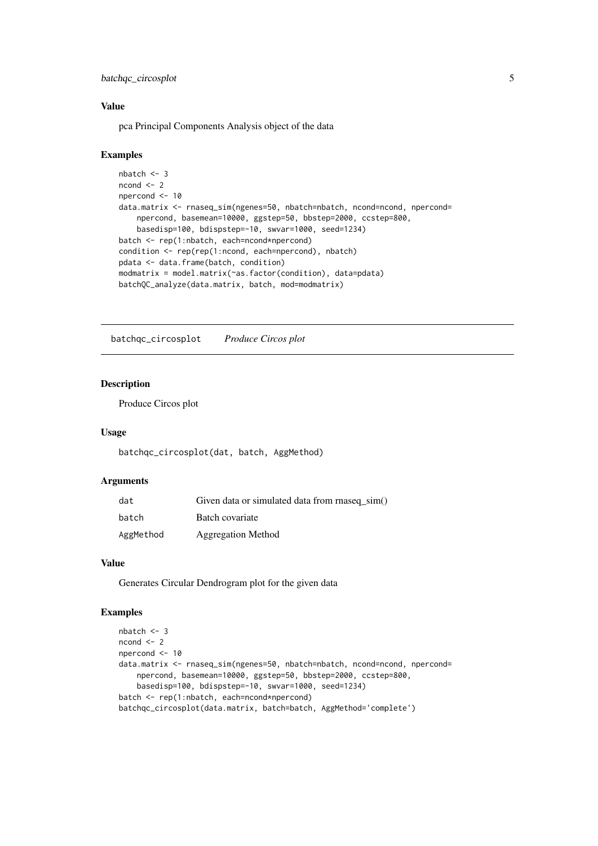<span id="page-4-0"></span>batchqc\_circosplot 5

#### Value

pca Principal Components Analysis object of the data

#### Examples

```
nbatch <- 3
ncond < -2npercond <- 10
data.matrix <- rnaseq_sim(ngenes=50, nbatch=nbatch, ncond=ncond, npercond=
    npercond, basemean=10000, ggstep=50, bbstep=2000, ccstep=800,
    basedisp=100, bdispstep=-10, swvar=1000, seed=1234)
batch <- rep(1:nbatch, each=ncond*npercond)
condition <- rep(rep(1:ncond, each=npercond), nbatch)
pdata <- data.frame(batch, condition)
modmatrix = model.matrix(~as.factor(condition), data=pdata)
batchQC_analyze(data.matrix, batch, mod=modmatrix)
```
batchqc\_circosplot *Produce Circos plot*

#### Description

Produce Circos plot

### Usage

batchqc\_circosplot(dat, batch, AggMethod)

### Arguments

| dat       | Given data or simulated data from rnaseq sim() |
|-----------|------------------------------------------------|
| batch     | Batch covariate                                |
| AggMethod | <b>Aggregation Method</b>                      |

#### Value

Generates Circular Dendrogram plot for the given data

```
nbatch <- 3
ncond < -2npercond <- 10
data.matrix <- rnaseq_sim(ngenes=50, nbatch=nbatch, ncond=ncond, npercond=
    npercond, basemean=10000, ggstep=50, bbstep=2000, ccstep=800,
    basedisp=100, bdispstep=-10, swvar=1000, seed=1234)
batch <- rep(1:nbatch, each=ncond*npercond)
batchqc_circosplot(data.matrix, batch=batch, AggMethod='complete')
```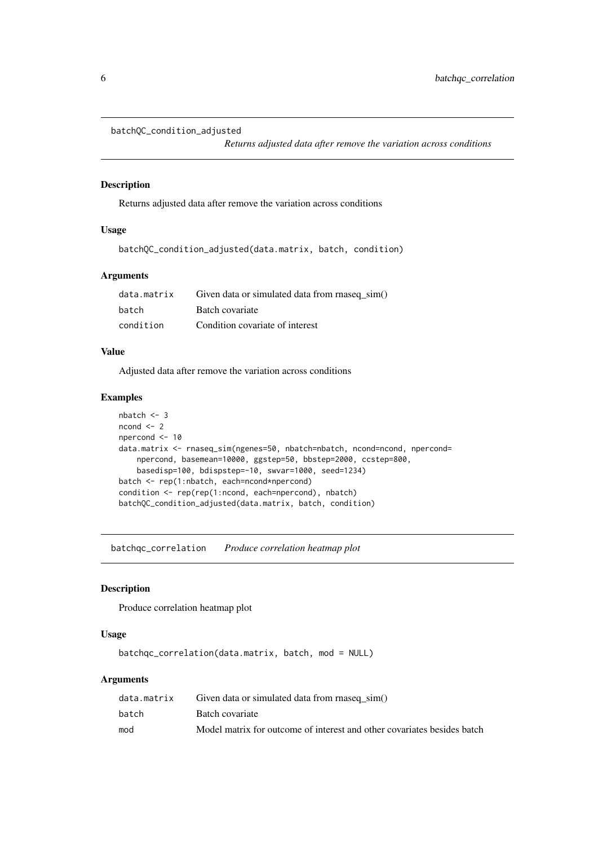```
batchQC_condition_adjusted
```
*Returns adjusted data after remove the variation across conditions*

### Description

Returns adjusted data after remove the variation across conditions

#### Usage

```
batchQC_condition_adjusted(data.matrix, batch, condition)
```
#### Arguments

| data.matrix | Given data or simulated data from rnaseq sim() |
|-------------|------------------------------------------------|
| batch       | Batch covariate                                |
| condition   | Condition covariate of interest                |

#### Value

Adjusted data after remove the variation across conditions

#### Examples

```
nbatch < -3ncond < -2npercond <- 10
data.matrix <- rnaseq_sim(ngenes=50, nbatch=nbatch, ncond=ncond, npercond=
    npercond, basemean=10000, ggstep=50, bbstep=2000, ccstep=800,
    basedisp=100, bdispstep=-10, swvar=1000, seed=1234)
batch <- rep(1:nbatch, each=ncond*npercond)
condition <- rep(rep(1:ncond, each=npercond), nbatch)
batchQC_condition_adjusted(data.matrix, batch, condition)
```
batchqc\_correlation *Produce correlation heatmap plot*

### Description

Produce correlation heatmap plot

### Usage

batchqc\_correlation(data.matrix, batch, mod = NULL)

### Arguments

| data.matrix | Given data or simulated data from rnaseq sim()                          |
|-------------|-------------------------------------------------------------------------|
| batch       | Batch covariate                                                         |
| mod         | Model matrix for outcome of interest and other covariates besides batch |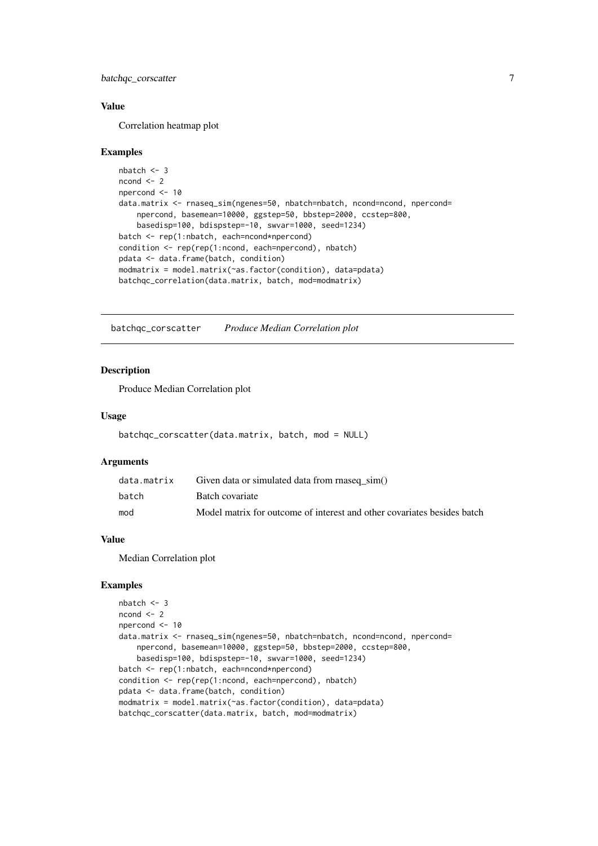<span id="page-6-0"></span>batchqc\_corscatter 7

#### Value

Correlation heatmap plot

#### Examples

```
nbatch <- 3
ncond <-2npercond <- 10
data.matrix <- rnaseq_sim(ngenes=50, nbatch=nbatch, ncond=ncond, npercond=
    npercond, basemean=10000, ggstep=50, bbstep=2000, ccstep=800,
    basedisp=100, bdispstep=-10, swvar=1000, seed=1234)
batch <- rep(1:nbatch, each=ncond*npercond)
condition <- rep(rep(1:ncond, each=npercond), nbatch)
pdata <- data.frame(batch, condition)
modmatrix = model.matrix(~as.factor(condition), data=pdata)
batchqc_correlation(data.matrix, batch, mod=modmatrix)
```
batchqc\_corscatter *Produce Median Correlation plot*

### Description

Produce Median Correlation plot

### Usage

```
batchqc_corscatter(data.matrix, batch, mod = NULL)
```
#### Arguments

| data.matrix | Given data or simulated data from rnaseq sim()                          |
|-------------|-------------------------------------------------------------------------|
| batch       | Batch covariate                                                         |
| mod         | Model matrix for outcome of interest and other covariates besides batch |

### Value

Median Correlation plot

```
nbatch <- 3
ncond <-2npercond <- 10
data.matrix <- rnaseq_sim(ngenes=50, nbatch=nbatch, ncond=ncond, npercond=
    npercond, basemean=10000, ggstep=50, bbstep=2000, ccstep=800,
    basedisp=100, bdispstep=-10, swvar=1000, seed=1234)
batch <- rep(1:nbatch, each=ncond*npercond)
condition <- rep(rep(1:ncond, each=npercond), nbatch)
pdata <- data.frame(batch, condition)
modmatrix = model.matrix(~as.factor(condition), data=pdata)
batchqc_corscatter(data.matrix, batch, mod=modmatrix)
```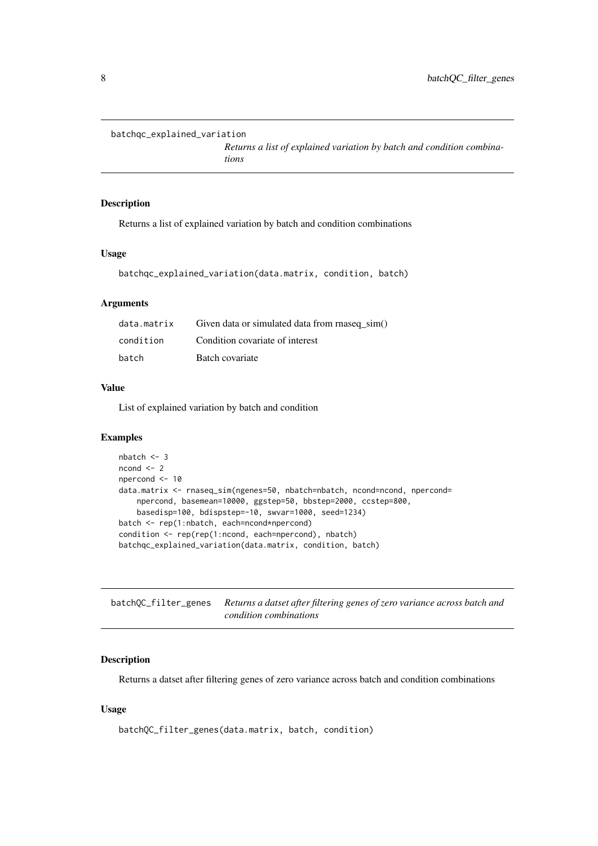```
batchqc_explained_variation
```
*Returns a list of explained variation by batch and condition combinations*

### Description

Returns a list of explained variation by batch and condition combinations

#### Usage

```
batchqc_explained_variation(data.matrix, condition, batch)
```
#### Arguments

| data.matrix | Given data or simulated data from rnaseq sim() |
|-------------|------------------------------------------------|
| condition   | Condition covariate of interest                |
| batch       | Batch covariate                                |

### Value

List of explained variation by batch and condition

#### Examples

```
nbatch <- 3
ncond < -2npercond <- 10
data.matrix <- rnaseq_sim(ngenes=50, nbatch=nbatch, ncond=ncond, npercond=
    npercond, basemean=10000, ggstep=50, bbstep=2000, ccstep=800,
    basedisp=100, bdispstep=-10, swvar=1000, seed=1234)
batch <- rep(1:nbatch, each=ncond*npercond)
condition <- rep(rep(1:ncond, each=npercond), nbatch)
batchqc_explained_variation(data.matrix, condition, batch)
```
batchQC\_filter\_genes *Returns a datset after filtering genes of zero variance across batch and condition combinations*

### Description

Returns a datset after filtering genes of zero variance across batch and condition combinations

### Usage

```
batchQC_filter_genes(data.matrix, batch, condition)
```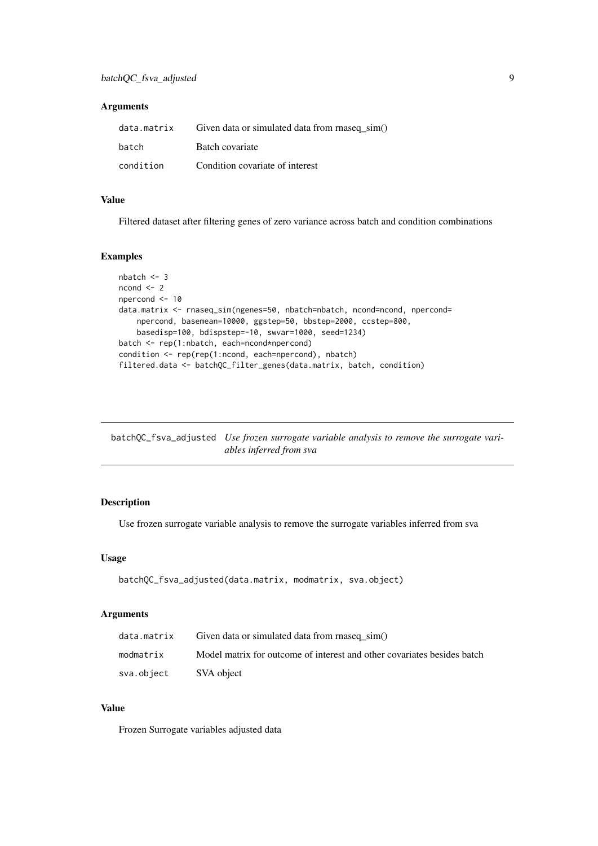#### <span id="page-8-0"></span>Arguments

| data.matrix | Given data or simulated data from rnaseq sim() |
|-------------|------------------------------------------------|
| batch       | Batch covariate                                |
| condition   | Condition covariate of interest                |

#### Value

Filtered dataset after filtering genes of zero variance across batch and condition combinations

#### Examples

```
nbatch <- 3
ncond <-2npercond <- 10
data.matrix <- rnaseq_sim(ngenes=50, nbatch=nbatch, ncond=ncond, npercond=
    npercond, basemean=10000, ggstep=50, bbstep=2000, ccstep=800,
    basedisp=100, bdispstep=-10, swvar=1000, seed=1234)
batch <- rep(1:nbatch, each=ncond*npercond)
condition <- rep(rep(1:ncond, each=npercond), nbatch)
filtered.data <- batchQC_filter_genes(data.matrix, batch, condition)
```
batchQC\_fsva\_adjusted *Use frozen surrogate variable analysis to remove the surrogate variables inferred from sva*

### Description

Use frozen surrogate variable analysis to remove the surrogate variables inferred from sva

#### Usage

```
batchQC_fsva_adjusted(data.matrix, modmatrix, sva.object)
```
### Arguments

| data.matrix | Given data or simulated data from rnaseq sim()                          |
|-------------|-------------------------------------------------------------------------|
| modmatrix   | Model matrix for outcome of interest and other covariates besides batch |
| sva.object  | SVA object                                                              |

### Value

Frozen Surrogate variables adjusted data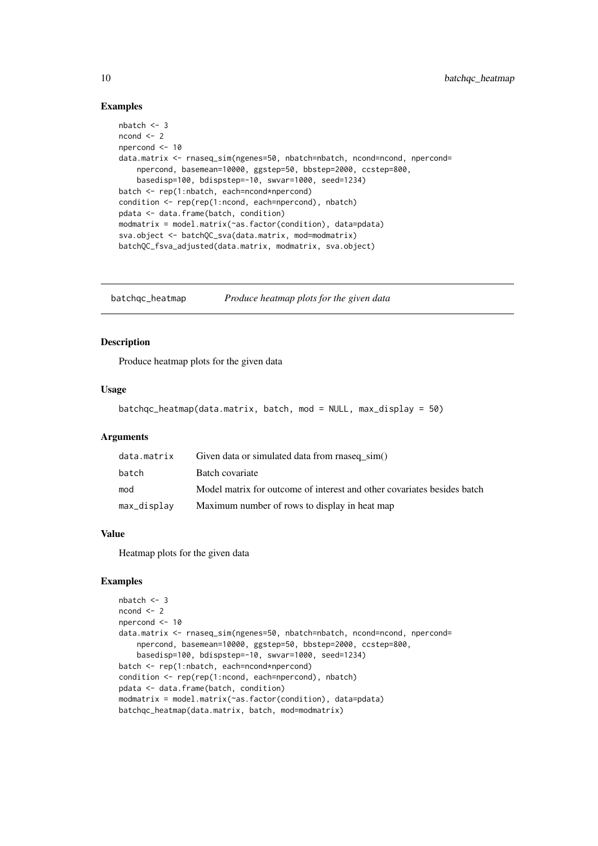#### Examples

```
nbatch <- 3
ncond < -2npercond <- 10
data.matrix <- rnaseq_sim(ngenes=50, nbatch=nbatch, ncond=ncond, npercond=
    npercond, basemean=10000, ggstep=50, bbstep=2000, ccstep=800,
    basedisp=100, bdispstep=-10, swvar=1000, seed=1234)
batch <- rep(1:nbatch, each=ncond*npercond)
condition <- rep(rep(1:ncond, each=npercond), nbatch)
pdata <- data.frame(batch, condition)
modmatrix = model.matrix(~as.factor(condition), data=pdata)
sva.object <- batchQC_sva(data.matrix, mod=modmatrix)
batchQC_fsva_adjusted(data.matrix, modmatrix, sva.object)
```
batchqc\_heatmap *Produce heatmap plots for the given data*

#### Description

Produce heatmap plots for the given data

### Usage

```
batchqc_heatmap(data.matrix, batch, mod = NULL, max_display = 50)
```
#### Arguments

| data.matrix | Given data or simulated data from rnaseq_sim()                          |
|-------------|-------------------------------------------------------------------------|
| batch       | Batch covariate                                                         |
| mod         | Model matrix for outcome of interest and other covariates besides batch |
| max_display | Maximum number of rows to display in heat map                           |

#### Value

Heatmap plots for the given data

```
nbatch <- 3
ncond <-2npercond <- 10
data.matrix <- rnaseq_sim(ngenes=50, nbatch=nbatch, ncond=ncond, npercond=
    npercond, basemean=10000, ggstep=50, bbstep=2000, ccstep=800,
    basedisp=100, bdispstep=-10, swvar=1000, seed=1234)
batch <- rep(1:nbatch, each=ncond*npercond)
condition <- rep(rep(1:ncond, each=npercond), nbatch)
pdata <- data.frame(batch, condition)
modmatrix = model.matrix(~as.factor(condition), data=pdata)
batchqc_heatmap(data.matrix, batch, mod=modmatrix)
```
<span id="page-9-0"></span>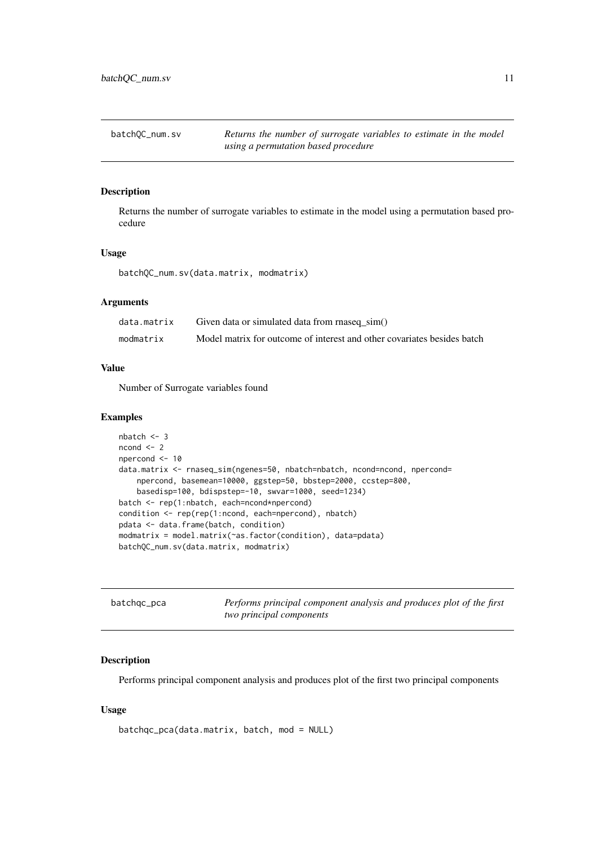<span id="page-10-0"></span>

| batchOC_num.sv | Returns the number of surrogate variables to estimate in the model |
|----------------|--------------------------------------------------------------------|
|                | using a permutation based procedure                                |

Returns the number of surrogate variables to estimate in the model using a permutation based procedure

### Usage

batchQC\_num.sv(data.matrix, modmatrix)

### Arguments

| data.matrix | Given data or simulated data from rnaseq sim()                          |
|-------------|-------------------------------------------------------------------------|
| modmatrix   | Model matrix for outcome of interest and other covariates besides batch |

### Value

Number of Surrogate variables found

#### Examples

```
nbatch <- 3
ncond < -2npercond <- 10
data.matrix <- rnaseq_sim(ngenes=50, nbatch=nbatch, ncond=ncond, npercond=
    npercond, basemean=10000, ggstep=50, bbstep=2000, ccstep=800,
    basedisp=100, bdispstep=-10, swvar=1000, seed=1234)
batch <- rep(1:nbatch, each=ncond*npercond)
condition <- rep(rep(1:ncond, each=npercond), nbatch)
pdata <- data.frame(batch, condition)
modmatrix = model.matrix(~as.factor(condition), data=pdata)
batchQC_num.sv(data.matrix, modmatrix)
```

| batchgc_pca | Performs principal component analysis and produces plot of the first |
|-------------|----------------------------------------------------------------------|
|             | two principal components                                             |

### Description

Performs principal component analysis and produces plot of the first two principal components

### Usage

```
batchqc_pca(data.matrix, batch, mod = NULL)
```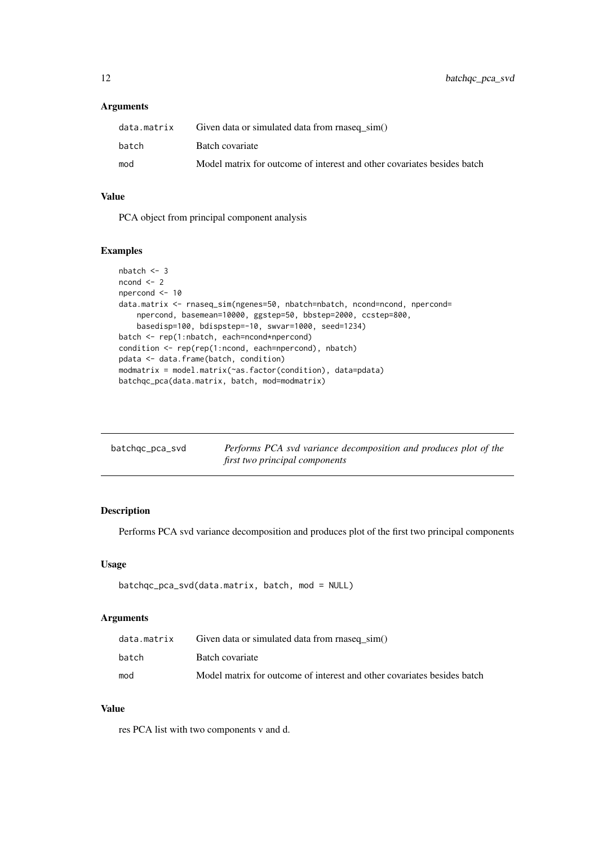### <span id="page-11-0"></span>Arguments

| data.matrix | Given data or simulated data from rnaseq sim()                          |
|-------------|-------------------------------------------------------------------------|
| batch       | Batch covariate                                                         |
| mod         | Model matrix for outcome of interest and other covariates besides batch |

### Value

PCA object from principal component analysis

### Examples

```
nbatch <- 3
ncond <-2npercond <- 10
data.matrix <- rnaseq_sim(ngenes=50, nbatch=nbatch, ncond=ncond, npercond=
    npercond, basemean=10000, ggstep=50, bbstep=2000, ccstep=800,
    basedisp=100, bdispstep=-10, swvar=1000, seed=1234)
batch <- rep(1:nbatch, each=ncond*npercond)
condition <- rep(rep(1:ncond, each=npercond), nbatch)
pdata <- data.frame(batch, condition)
modmatrix = model.matrix(~as.factor(condition), data=pdata)
batchqc_pca(data.matrix, batch, mod=modmatrix)
```

| batchgc_pca_svd | Performs PCA svd variance decomposition and produces plot of the |
|-----------------|------------------------------------------------------------------|
|                 | first two principal components                                   |

### Description

Performs PCA svd variance decomposition and produces plot of the first two principal components

### Usage

```
batchqc_pca_svd(data.matrix, batch, mod = NULL)
```
### Arguments

| data.matrix | Given data or simulated data from rnaseq sim()                          |
|-------------|-------------------------------------------------------------------------|
| batch       | Batch covariate                                                         |
| mod         | Model matrix for outcome of interest and other covariates besides batch |

### Value

res PCA list with two components v and d.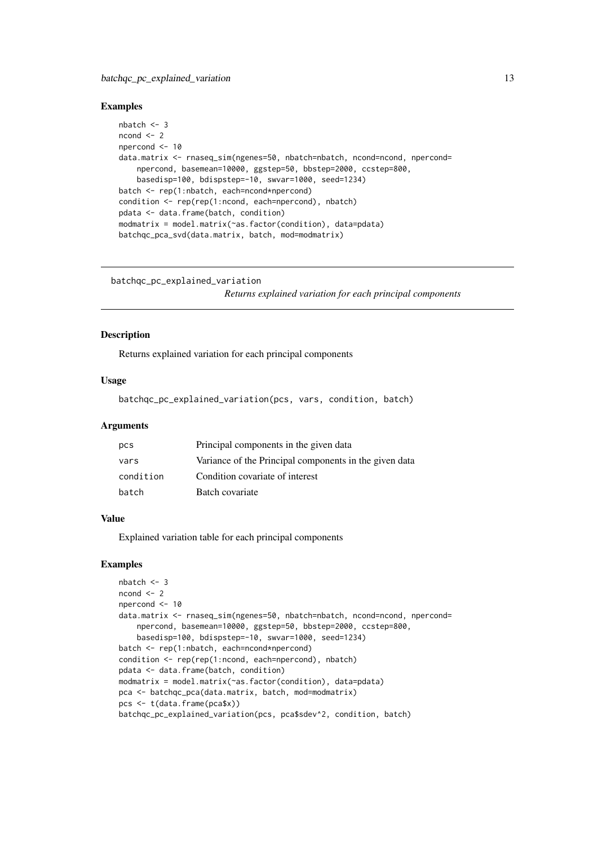#### <span id="page-12-0"></span>Examples

```
nbatch < -3ncond < -2npercond <- 10
data.matrix <- rnaseq_sim(ngenes=50, nbatch=nbatch, ncond=ncond, npercond=
    npercond, basemean=10000, ggstep=50, bbstep=2000, ccstep=800,
    basedisp=100, bdispstep=-10, swvar=1000, seed=1234)
batch <- rep(1:nbatch, each=ncond*npercond)
condition <- rep(rep(1:ncond, each=npercond), nbatch)
pdata <- data.frame(batch, condition)
modmatrix = model.matrix(~as.factor(condition), data=pdata)
batchqc_pca_svd(data.matrix, batch, mod=modmatrix)
```
batchqc\_pc\_explained\_variation

*Returns explained variation for each principal components*

#### Description

Returns explained variation for each principal components

#### Usage

```
batchqc_pc_explained_variation(pcs, vars, condition, batch)
```
### Arguments

| pcs       | Principal components in the given data                 |
|-----------|--------------------------------------------------------|
| vars      | Variance of the Principal components in the given data |
| condition | Condition covariate of interest                        |
| batch     | Batch covariate                                        |

#### Value

Explained variation table for each principal components

```
nbatch < -3ncond \leq -2npercond <- 10
data.matrix <- rnaseq_sim(ngenes=50, nbatch=nbatch, ncond=ncond, npercond=
    npercond, basemean=10000, ggstep=50, bbstep=2000, ccstep=800,
    basedisp=100, bdispstep=-10, swvar=1000, seed=1234)
batch <- rep(1:nbatch, each=ncond*npercond)
condition <- rep(rep(1:ncond, each=npercond), nbatch)
pdata <- data.frame(batch, condition)
modmatrix = model.matrix(~as.factor(condition), data=pdata)
pca <- batchqc_pca(data.matrix, batch, mod=modmatrix)
pcs <- t(data.frame(pca$x))
batchqc_pc_explained_variation(pcs, pca$sdev^2, condition, batch)
```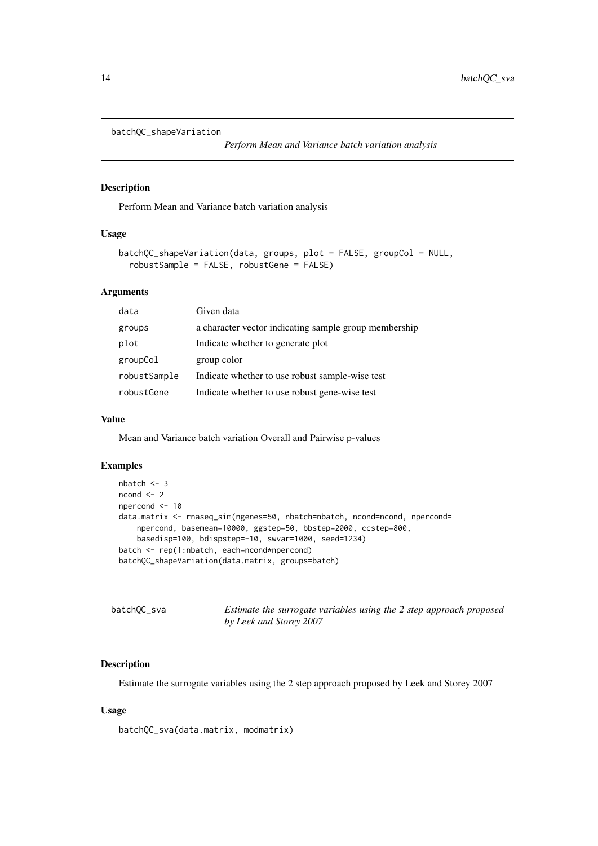```
batchQC_shapeVariation
```
*Perform Mean and Variance batch variation analysis*

#### Description

Perform Mean and Variance batch variation analysis

### Usage

```
batchQC_shapeVariation(data, groups, plot = FALSE, groupCol = NULL,
  robustSample = FALSE, robustGene = FALSE)
```
### Arguments

| data         | Given data                                            |
|--------------|-------------------------------------------------------|
| groups       | a character vector indicating sample group membership |
| plot         | Indicate whether to generate plot                     |
| groupCol     | group color                                           |
| robustSample | Indicate whether to use robust sample-wise test       |
| robustGene   | Indicate whether to use robust gene-wise test         |

#### Value

Mean and Variance batch variation Overall and Pairwise p-values

#### Examples

```
nbatch <- 3
ncond < -2npercond <- 10
data.matrix <- rnaseq_sim(ngenes=50, nbatch=nbatch, ncond=ncond, npercond=
    npercond, basemean=10000, ggstep=50, bbstep=2000, ccstep=800,
    basedisp=100, bdispstep=-10, swvar=1000, seed=1234)
batch <- rep(1:nbatch, each=ncond*npercond)
batchQC_shapeVariation(data.matrix, groups=batch)
```

| batchOC_sva | Estimate the surrogate variables using the 2 step approach proposed |
|-------------|---------------------------------------------------------------------|
|             | by Leek and Storey 2007                                             |

### Description

Estimate the surrogate variables using the 2 step approach proposed by Leek and Storey 2007

### Usage

```
batchQC_sva(data.matrix, modmatrix)
```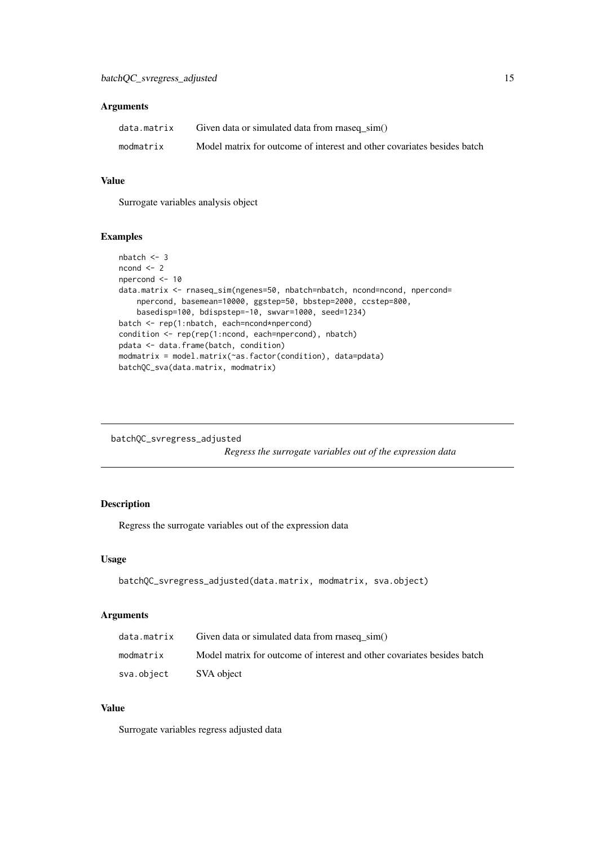### <span id="page-14-0"></span>Arguments

| data.matrix | Given data or simulated data from rnaseq_sim()                          |
|-------------|-------------------------------------------------------------------------|
| modmatrix   | Model matrix for outcome of interest and other covariates besides batch |

### Value

Surrogate variables analysis object

### Examples

```
nbatch <- 3
ncond < -2npercond <- 10
data.matrix <- rnaseq_sim(ngenes=50, nbatch=nbatch, ncond=ncond, npercond=
    npercond, basemean=10000, ggstep=50, bbstep=2000, ccstep=800,
    basedisp=100, bdispstep=-10, swvar=1000, seed=1234)
batch <- rep(1:nbatch, each=ncond*npercond)
condition <- rep(rep(1:ncond, each=npercond), nbatch)
pdata <- data.frame(batch, condition)
modmatrix = model.matrix(~as.factor(condition), data=pdata)
batchQC_sva(data.matrix, modmatrix)
```
batchQC\_svregress\_adjusted

*Regress the surrogate variables out of the expression data*

### Description

Regress the surrogate variables out of the expression data

### Usage

```
batchQC_svregress_adjusted(data.matrix, modmatrix, sva.object)
```
#### Arguments

| data.matrix | Given data or simulated data from rnaseq sim()                          |
|-------------|-------------------------------------------------------------------------|
| modmatrix   | Model matrix for outcome of interest and other covariates besides batch |
| sva.object  | SVA object                                                              |

### Value

Surrogate variables regress adjusted data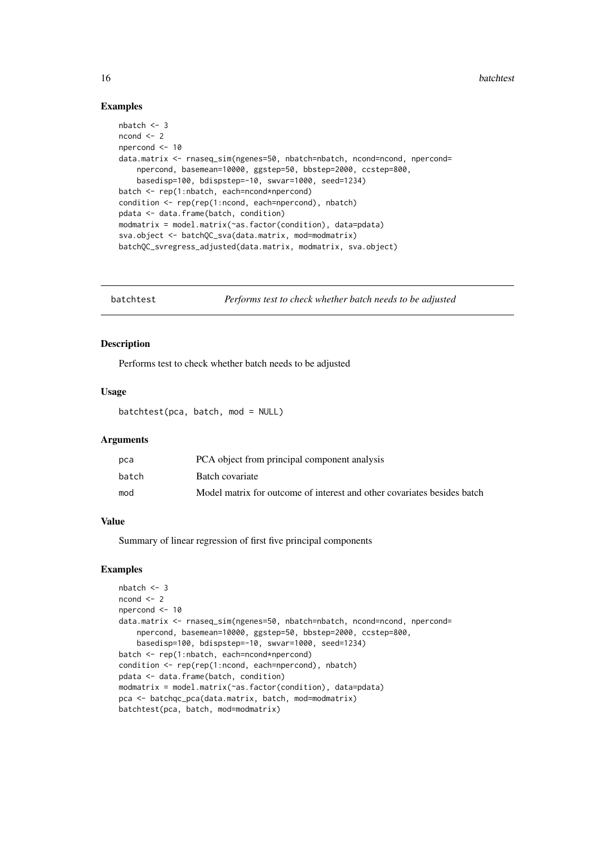<span id="page-15-0"></span>16 batchtest and the batchtest state of the batchtest state of the batchtest state of the batchtest state of the batchtest state of the batchtest state of the batchtest state of the batchtest state of the batchtest state o

#### Examples

```
nbatch <- 3
ncond \leq -2npercond <- 10
data.matrix <- rnaseq_sim(ngenes=50, nbatch=nbatch, ncond=ncond, npercond=
    npercond, basemean=10000, ggstep=50, bbstep=2000, ccstep=800,
    basedisp=100, bdispstep=-10, swvar=1000, seed=1234)
batch <- rep(1:nbatch, each=ncond*npercond)
condition <- rep(rep(1:ncond, each=npercond), nbatch)
pdata <- data.frame(batch, condition)
modmatrix = model.matrix(~as.factor(condition), data=pdata)
sva.object <- batchQC_sva(data.matrix, mod=modmatrix)
batchQC_svregress_adjusted(data.matrix, modmatrix, sva.object)
```
batchtest *Performs test to check whether batch needs to be adjusted*

#### Description

Performs test to check whether batch needs to be adjusted

### Usage

batchtest(pca, batch, mod = NULL)

#### Arguments

| pca   | PCA object from principal component analysis                            |
|-------|-------------------------------------------------------------------------|
| batch | Batch covariate                                                         |
| mod   | Model matrix for outcome of interest and other covariates besides batch |

#### Value

Summary of linear regression of first five principal components

```
nbatch <- 3
ncond \leq -2npercond <- 10
data.matrix <- rnaseq_sim(ngenes=50, nbatch=nbatch, ncond=ncond, npercond=
    npercond, basemean=10000, ggstep=50, bbstep=2000, ccstep=800,
    basedisp=100, bdispstep=-10, swvar=1000, seed=1234)
batch <- rep(1:nbatch, each=ncond*npercond)
condition <- rep(rep(1:ncond, each=npercond), nbatch)
pdata <- data.frame(batch, condition)
modmatrix = model.matrix(~as.factor(condition), data=pdata)
pca <- batchqc_pca(data.matrix, batch, mod=modmatrix)
batchtest(pca, batch, mod=modmatrix)
```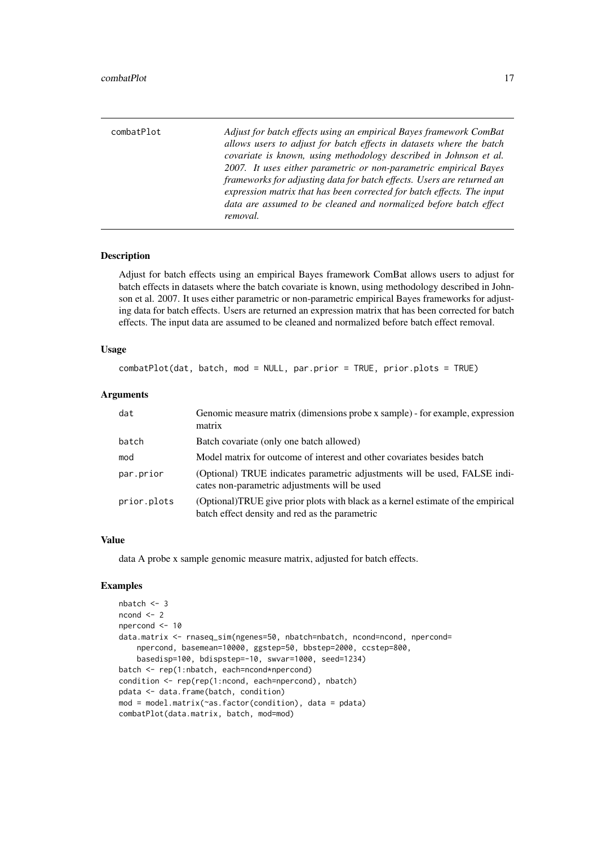<span id="page-16-0"></span>

| combatPlot | Adjust for batch effects using an empirical Bayes framework ComBat<br>allows users to adjust for batch effects in datasets where the batch<br>covariate is known, using methodology described in Johnson et al.<br>2007. It uses either parametric or non-parametric empirical Bayes<br>frameworks for adjusting data for batch effects. Users are returned an<br>expression matrix that has been corrected for batch effects. The input<br>data are assumed to be cleaned and normalized before batch effect |
|------------|---------------------------------------------------------------------------------------------------------------------------------------------------------------------------------------------------------------------------------------------------------------------------------------------------------------------------------------------------------------------------------------------------------------------------------------------------------------------------------------------------------------|
|            | removal.                                                                                                                                                                                                                                                                                                                                                                                                                                                                                                      |

Adjust for batch effects using an empirical Bayes framework ComBat allows users to adjust for batch effects in datasets where the batch covariate is known, using methodology described in Johnson et al. 2007. It uses either parametric or non-parametric empirical Bayes frameworks for adjusting data for batch effects. Users are returned an expression matrix that has been corrected for batch effects. The input data are assumed to be cleaned and normalized before batch effect removal.

#### Usage

combatPlot(dat, batch, mod = NULL, par.prior = TRUE, prior.plots = TRUE)

#### Arguments

| dat         | Genomic measure matrix (dimensions probe x sample) - for example, expression<br>matrix                                             |
|-------------|------------------------------------------------------------------------------------------------------------------------------------|
| batch       | Batch covariate (only one batch allowed)                                                                                           |
| mod         | Model matrix for outcome of interest and other covariates besides batch                                                            |
| par.prior   | (Optional) TRUE indicates parametric adjustments will be used, FALSE indi-<br>cates non-parametric adjustments will be used        |
| prior.plots | (Optional)TRUE give prior plots with black as a kernel estimate of the empirical<br>batch effect density and red as the parametric |

#### Value

data A probe x sample genomic measure matrix, adjusted for batch effects.

```
nbatch < -3ncond < -2npercond <- 10
data.matrix <- rnaseq_sim(ngenes=50, nbatch=nbatch, ncond=ncond, npercond=
    npercond, basemean=10000, ggstep=50, bbstep=2000, ccstep=800,
    basedisp=100, bdispstep=-10, swvar=1000, seed=1234)
batch <- rep(1:nbatch, each=ncond*npercond)
condition <- rep(rep(1:ncond, each=npercond), nbatch)
pdata <- data.frame(batch, condition)
mod = model.matrix(~as.factor(condition), data = pdata)
combatPlot(data.matrix, batch, mod=mod)
```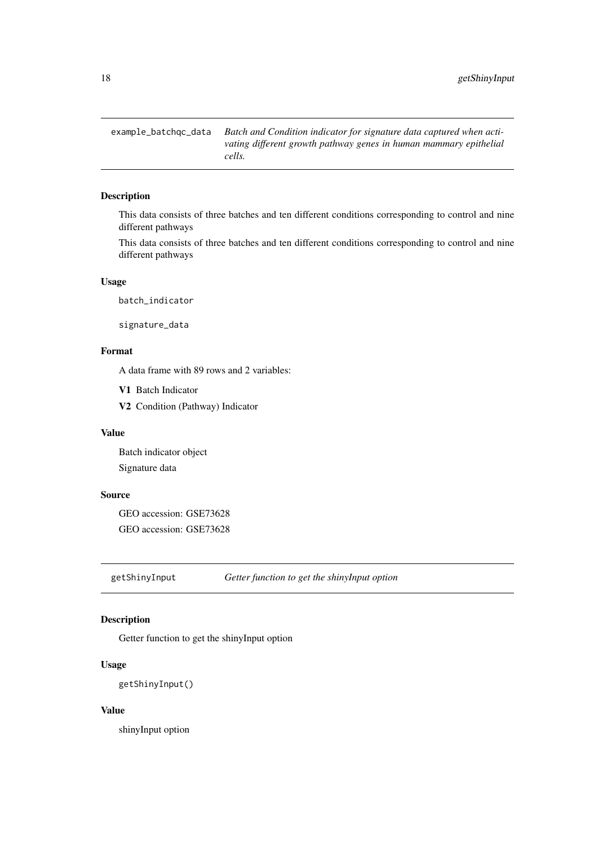<span id="page-17-0"></span>example\_batchqc\_data *Batch and Condition indicator for signature data captured when activating different growth pathway genes in human mammary epithelial cells.*

### Description

This data consists of three batches and ten different conditions corresponding to control and nine different pathways

This data consists of three batches and ten different conditions corresponding to control and nine different pathways

#### Usage

batch\_indicator

signature\_data

### Format

A data frame with 89 rows and 2 variables:

V1 Batch Indicator

V2 Condition (Pathway) Indicator

### Value

Batch indicator object Signature data

### Source

GEO accession: GSE73628 GEO accession: GSE73628

getShinyInput *Getter function to get the shinyInput option*

### Description

Getter function to get the shinyInput option

### Usage

getShinyInput()

### Value

shinyInput option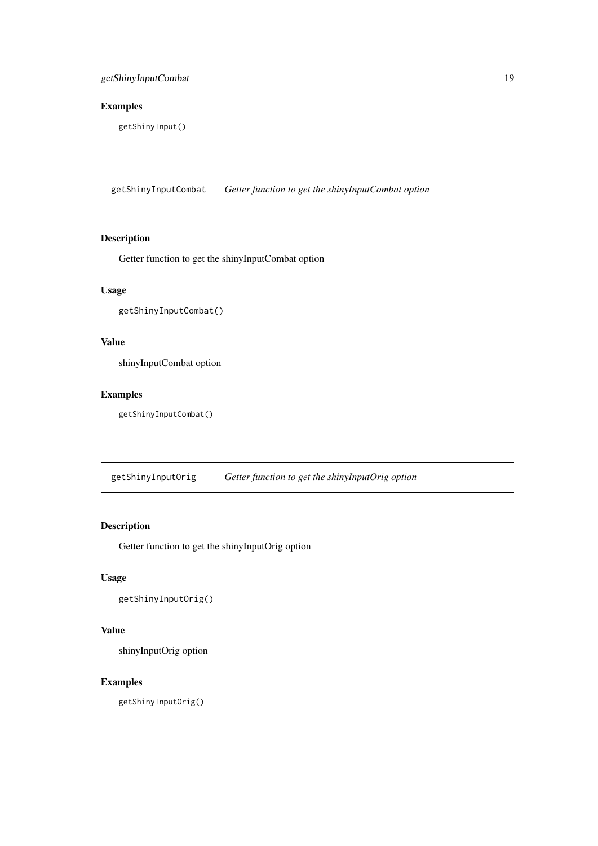### <span id="page-18-0"></span>Examples

getShinyInput()

getShinyInputCombat *Getter function to get the shinyInputCombat option*

### Description

Getter function to get the shinyInputCombat option

### Usage

```
getShinyInputCombat()
```
### Value

shinyInputCombat option

### Examples

getShinyInputCombat()

getShinyInputOrig *Getter function to get the shinyInputOrig option*

### Description

Getter function to get the shinyInputOrig option

### Usage

getShinyInputOrig()

### Value

shinyInputOrig option

#### Examples

getShinyInputOrig()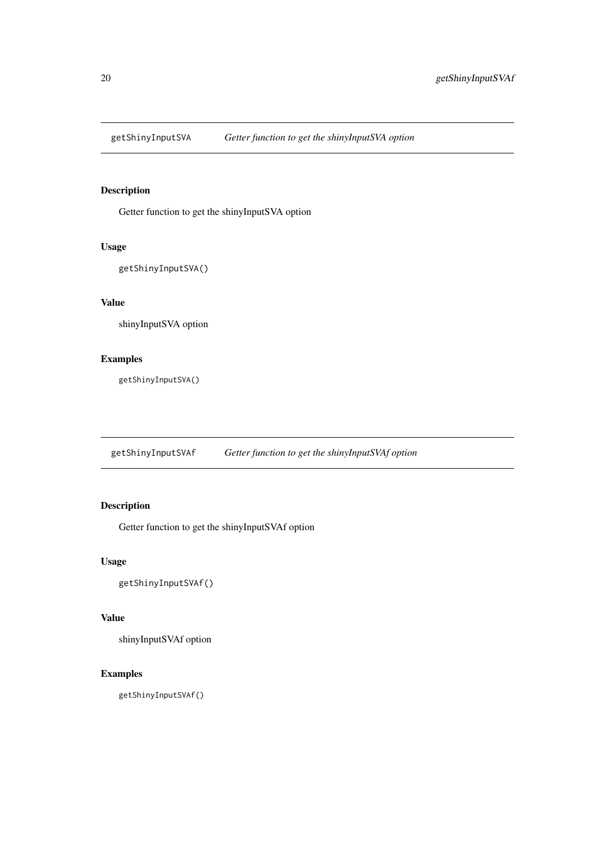<span id="page-19-0"></span>

Getter function to get the shinyInputSVA option

### Usage

getShinyInputSVA()

### Value

shinyInputSVA option

### Examples

getShinyInputSVA()

getShinyInputSVAf *Getter function to get the shinyInputSVAf option*

### Description

Getter function to get the shinyInputSVAf option

### Usage

getShinyInputSVAf()

#### Value

shinyInputSVAf option

### Examples

getShinyInputSVAf()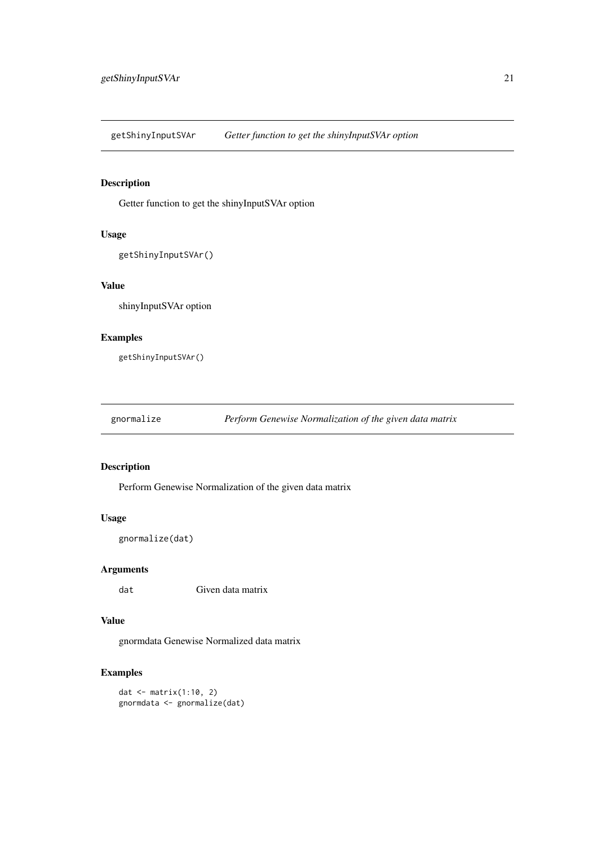<span id="page-20-0"></span>getShinyInputSVAr *Getter function to get the shinyInputSVAr option*

### Description

Getter function to get the shinyInputSVAr option

### Usage

getShinyInputSVAr()

### Value

shinyInputSVAr option

### Examples

getShinyInputSVAr()

gnormalize *Perform Genewise Normalization of the given data matrix*

### Description

Perform Genewise Normalization of the given data matrix

### Usage

gnormalize(dat)

### Arguments

dat Given data matrix

### Value

gnormdata Genewise Normalized data matrix

### Examples

dat <- matrix(1:10, 2) gnormdata <- gnormalize(dat)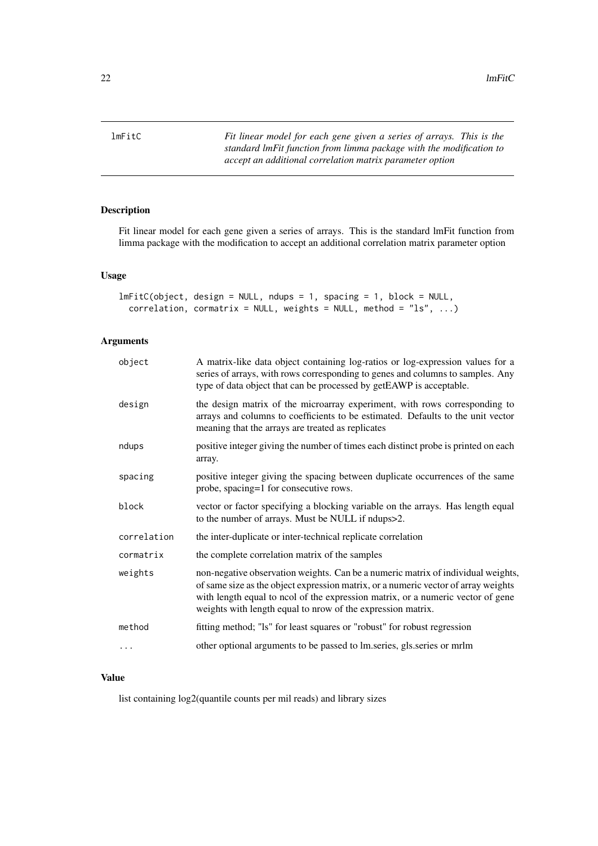<span id="page-21-0"></span>lmFitC *Fit linear model for each gene given a series of arrays. This is the standard lmFit function from limma package with the modification to accept an additional correlation matrix parameter option*

### Description

Fit linear model for each gene given a series of arrays. This is the standard lmFit function from limma package with the modification to accept an additional correlation matrix parameter option

### Usage

```
lmFitC(object, design = NULL, ndups = 1, spacing = 1, block = NULL,
 correlation, cormatrix = NULL, weights = NULL, method = "ls", ...
```
### Arguments

| object      | A matrix-like data object containing log-ratios or log-expression values for a<br>series of arrays, with rows corresponding to genes and columns to samples. Any<br>type of data object that can be processed by getEAWP is acceptable.                                                                                  |
|-------------|--------------------------------------------------------------------------------------------------------------------------------------------------------------------------------------------------------------------------------------------------------------------------------------------------------------------------|
| design      | the design matrix of the microarray experiment, with rows corresponding to<br>arrays and columns to coefficients to be estimated. Defaults to the unit vector<br>meaning that the arrays are treated as replicates                                                                                                       |
| ndups       | positive integer giving the number of times each distinct probe is printed on each<br>array.                                                                                                                                                                                                                             |
| spacing     | positive integer giving the spacing between duplicate occurrences of the same<br>probe, spacing=1 for consecutive rows.                                                                                                                                                                                                  |
| block       | vector or factor specifying a blocking variable on the arrays. Has length equal<br>to the number of arrays. Must be NULL if ndups>2.                                                                                                                                                                                     |
| correlation | the inter-duplicate or inter-technical replicate correlation                                                                                                                                                                                                                                                             |
| cormatrix   | the complete correlation matrix of the samples                                                                                                                                                                                                                                                                           |
| weights     | non-negative observation weights. Can be a numeric matrix of individual weights,<br>of same size as the object expression matrix, or a numeric vector of array weights<br>with length equal to ncol of the expression matrix, or a numeric vector of gene<br>weights with length equal to nrow of the expression matrix. |
| method      | fitting method; "Is" for least squares or "robust" for robust regression                                                                                                                                                                                                                                                 |
| .           | other optional arguments to be passed to lm.series, gls.series or mrlm                                                                                                                                                                                                                                                   |

### Value

list containing log2(quantile counts per mil reads) and library sizes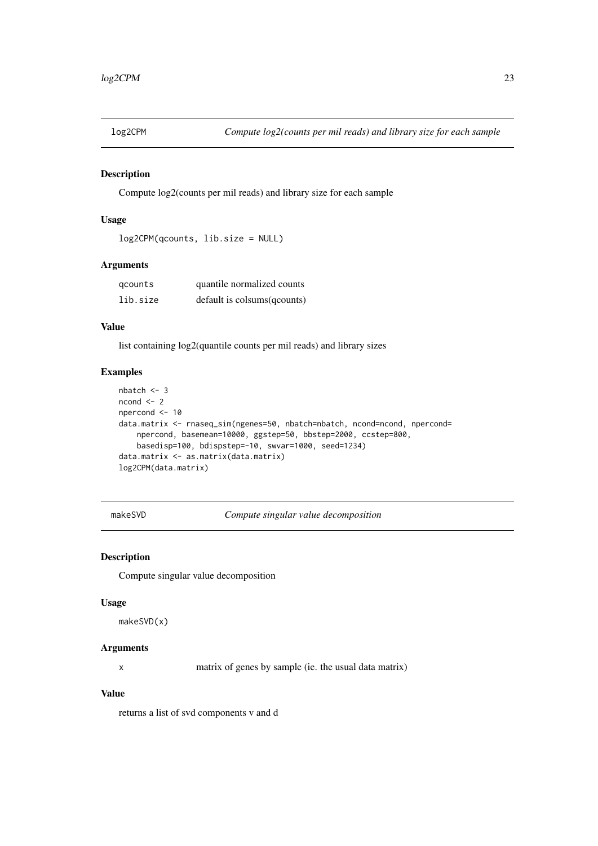<span id="page-22-0"></span>

Compute log2(counts per mil reads) and library size for each sample

### Usage

```
log2CPM(qcounts, lib.size = NULL)
```
#### Arguments

| gcounts  | quantile normalized counts   |
|----------|------------------------------|
| lib.size | default is colsums (qcounts) |

### Value

list containing log2(quantile counts per mil reads) and library sizes

### Examples

```
nbatch <- 3
ncond <-2npercond <- 10
data.matrix <- rnaseq_sim(ngenes=50, nbatch=nbatch, ncond=ncond, npercond=
    npercond, basemean=10000, ggstep=50, bbstep=2000, ccstep=800,
    basedisp=100, bdispstep=-10, swvar=1000, seed=1234)
data.matrix <- as.matrix(data.matrix)
log2CPM(data.matrix)
```
makeSVD *Compute singular value decomposition*

### Description

Compute singular value decomposition

#### Usage

```
makeSVD(x)
```
#### Arguments

x matrix of genes by sample (ie. the usual data matrix)

### Value

returns a list of svd components v and d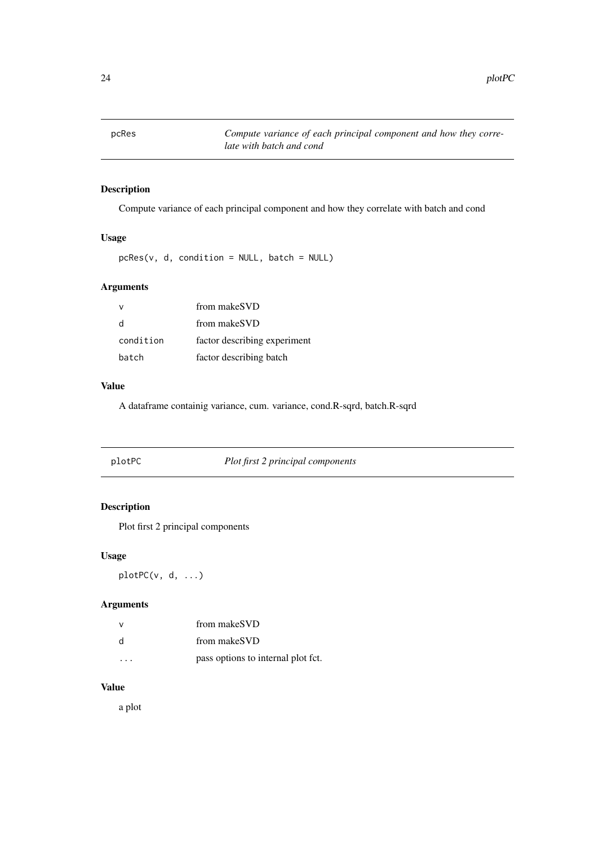<span id="page-23-0"></span>

Compute variance of each principal component and how they correlate with batch and cond

### Usage

pcRes(v, d, condition = NULL, batch = NULL)

### Arguments

|           | from makeSVD                 |
|-----------|------------------------------|
| d         | from makeSVD                 |
| condition | factor describing experiment |
| batch     | factor describing batch      |

#### Value

A dataframe containig variance, cum. variance, cond.R-sqrd, batch.R-sqrd

|  | plotPC | Plot first 2 principal components |  |
|--|--------|-----------------------------------|--|
|--|--------|-----------------------------------|--|

### Description

Plot first 2 principal components

### Usage

plotPC(v, d, ...)

### Arguments

| v | from makeSVD                       |
|---|------------------------------------|
| d | from makeSVD                       |
|   | pass options to internal plot fct. |

### Value

a plot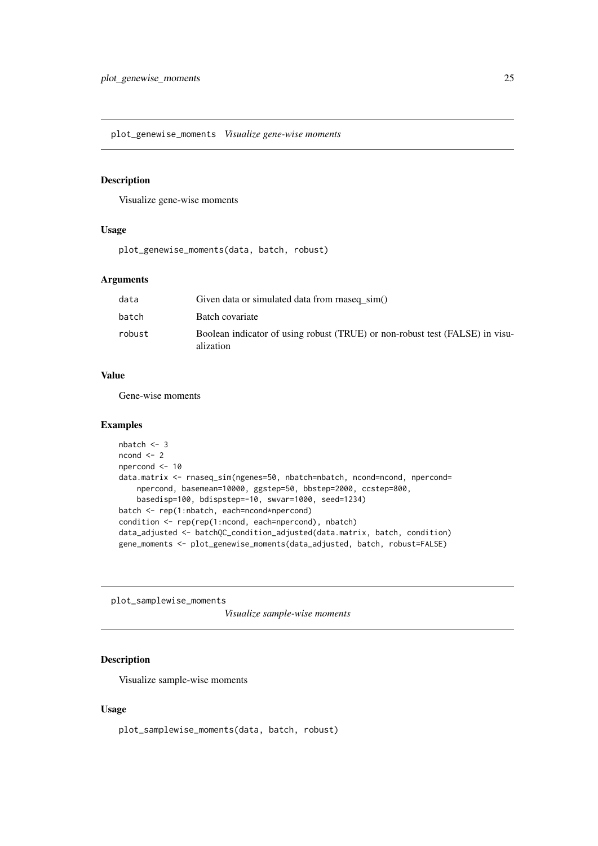<span id="page-24-0"></span>plot\_genewise\_moments *Visualize gene-wise moments*

### Description

Visualize gene-wise moments

### Usage

plot\_genewise\_moments(data, batch, robust)

### Arguments

| data   | Given data or simulated data from rnaseq sim()                                            |
|--------|-------------------------------------------------------------------------------------------|
| batch  | Batch covariate                                                                           |
| robust | Boolean indicator of using robust (TRUE) or non-robust test (FALSE) in visu-<br>alization |

#### Value

Gene-wise moments

#### Examples

```
nbatch <- 3
ncond < -2npercond <- 10
data.matrix <- rnaseq_sim(ngenes=50, nbatch=nbatch, ncond=ncond, npercond=
    npercond, basemean=10000, ggstep=50, bbstep=2000, ccstep=800,
    basedisp=100, bdispstep=-10, swvar=1000, seed=1234)
batch <- rep(1:nbatch, each=ncond*npercond)
condition <- rep(rep(1:ncond, each=npercond), nbatch)
data_adjusted <- batchQC_condition_adjusted(data.matrix, batch, condition)
gene_moments <- plot_genewise_moments(data_adjusted, batch, robust=FALSE)
```
plot\_samplewise\_moments

*Visualize sample-wise moments*

### Description

Visualize sample-wise moments

### Usage

```
plot_samplewise_moments(data, batch, robust)
```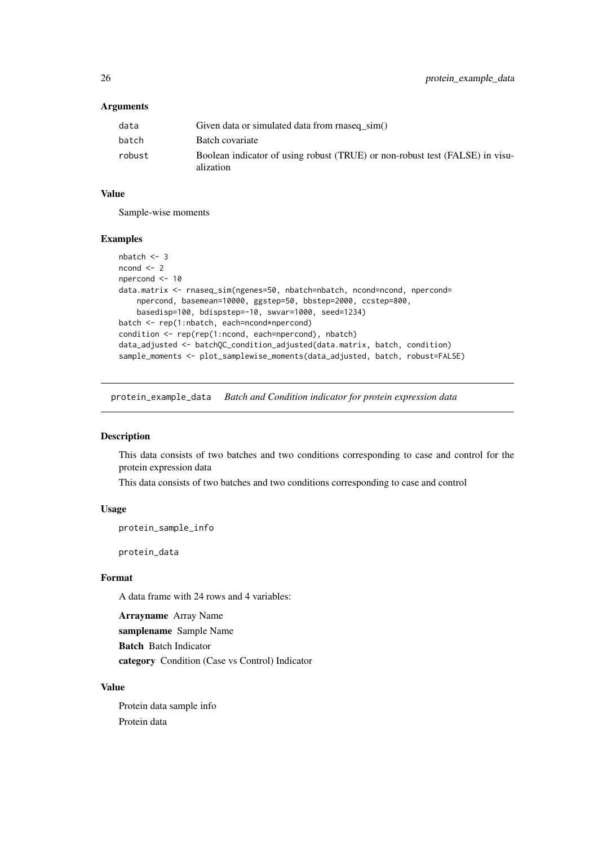### <span id="page-25-0"></span>Arguments

| data   | Given data or simulated data from rnaseq sim()                                            |
|--------|-------------------------------------------------------------------------------------------|
| batch  | Batch covariate                                                                           |
| robust | Boolean indicator of using robust (TRUE) or non-robust test (FALSE) in visu-<br>alization |

### Value

Sample-wise moments

#### Examples

```
nbatch <- 3
ncond < -2npercond <- 10
data.matrix <- rnaseq_sim(ngenes=50, nbatch=nbatch, ncond=ncond, npercond=
    npercond, basemean=10000, ggstep=50, bbstep=2000, ccstep=800,
    basedisp=100, bdispstep=-10, swvar=1000, seed=1234)
batch <- rep(1:nbatch, each=ncond*npercond)
condition <- rep(rep(1:ncond, each=npercond), nbatch)
data_adjusted <- batchQC_condition_adjusted(data.matrix, batch, condition)
sample_moments <- plot_samplewise_moments(data_adjusted, batch, robust=FALSE)
```
protein\_example\_data *Batch and Condition indicator for protein expression data*

#### Description

This data consists of two batches and two conditions corresponding to case and control for the protein expression data

This data consists of two batches and two conditions corresponding to case and control

#### Usage

protein\_sample\_info

protein\_data

### Format

A data frame with 24 rows and 4 variables:

Arrayname Array Name

samplename Sample Name

Batch Batch Indicator

category Condition (Case vs Control) Indicator

### Value

Protein data sample info Protein data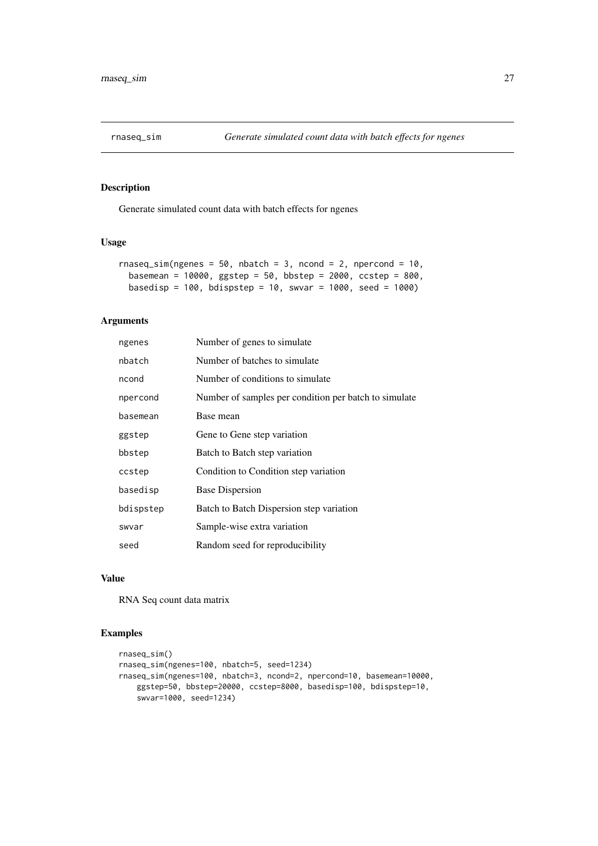<span id="page-26-0"></span>

Generate simulated count data with batch effects for ngenes

### Usage

```
rnaseq_sim(ngenes = 50, nbatch = 3, ncond = 2, npercond = 10,
 basemean = 10000, ggstep = 50, bbstep = 2000, ccstep = 800,
 basedisp = 100, bdispstep = 10, swvar = 1000, seed = 1000)
```
### Arguments

| ngenes    | Number of genes to simulate                           |
|-----------|-------------------------------------------------------|
| nbatch    | Number of batches to simulate                         |
| ncond     | Number of conditions to simulate                      |
| npercond  | Number of samples per condition per batch to simulate |
| basemean  | Base mean                                             |
| ggstep    | Gene to Gene step variation                           |
| bbstep    | Batch to Batch step variation                         |
| ccstep    | Condition to Condition step variation                 |
| basedisp  | <b>Base Dispersion</b>                                |
| bdispstep | Batch to Batch Dispersion step variation              |
| swvar     | Sample-wise extra variation                           |
| seed      | Random seed for reproducibility                       |
|           |                                                       |

### Value

RNA Seq count data matrix

```
rnaseq_sim()
rnaseq_sim(ngenes=100, nbatch=5, seed=1234)
rnaseq_sim(ngenes=100, nbatch=3, ncond=2, npercond=10, basemean=10000,
   ggstep=50, bbstep=20000, ccstep=8000, basedisp=100, bdispstep=10,
   swvar=1000, seed=1234)
```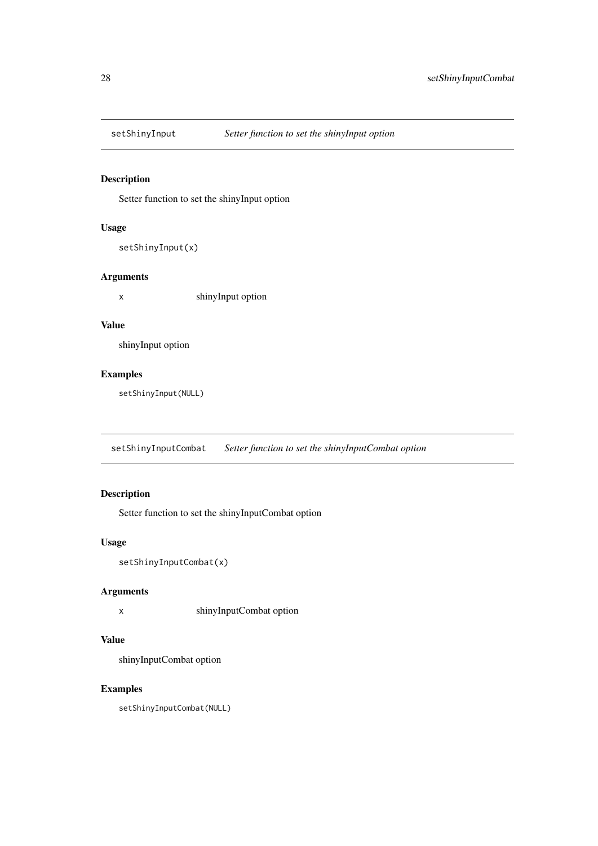<span id="page-27-0"></span>

Setter function to set the shinyInput option

#### Usage

```
setShinyInput(x)
```
### Arguments

x shinyInput option

### Value

shinyInput option

### Examples

setShinyInput(NULL)

setShinyInputCombat *Setter function to set the shinyInputCombat option*

### Description

Setter function to set the shinyInputCombat option

### Usage

```
setShinyInputCombat(x)
```
### Arguments

x shinyInputCombat option

### Value

shinyInputCombat option

### Examples

setShinyInputCombat(NULL)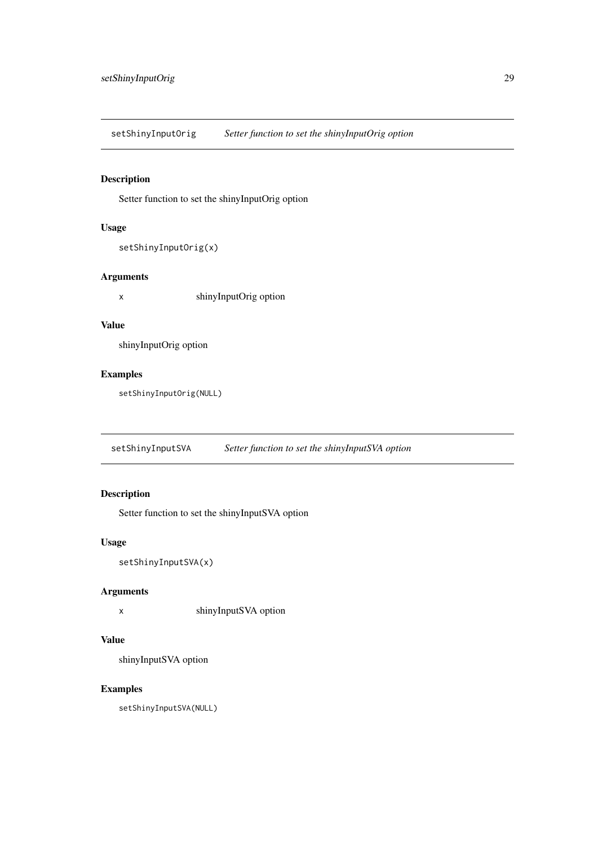<span id="page-28-0"></span>setShinyInputOrig *Setter function to set the shinyInputOrig option*

### Description

Setter function to set the shinyInputOrig option

### Usage

```
setShinyInputOrig(x)
```
### Arguments

x shinyInputOrig option

### Value

shinyInputOrig option

### Examples

setShinyInputOrig(NULL)

setShinyInputSVA *Setter function to set the shinyInputSVA option*

### Description

Setter function to set the shinyInputSVA option

### Usage

```
setShinyInputSVA(x)
```
### Arguments

x shinyInputSVA option

### Value

shinyInputSVA option

### Examples

setShinyInputSVA(NULL)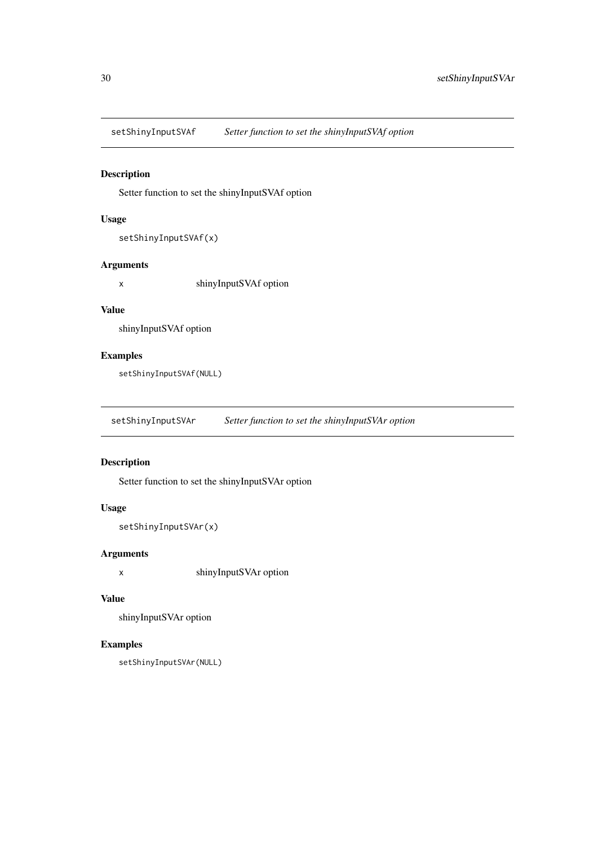<span id="page-29-0"></span>setShinyInputSVAf *Setter function to set the shinyInputSVAf option*

### Description

Setter function to set the shinyInputSVAf option

### Usage

```
setShinyInputSVAf(x)
```
#### Arguments

x shinyInputSVAf option

### Value

shinyInputSVAf option

### Examples

setShinyInputSVAf(NULL)

setShinyInputSVAr *Setter function to set the shinyInputSVAr option*

### Description

Setter function to set the shinyInputSVAr option

### Usage

```
setShinyInputSVAr(x)
```
### Arguments

x shinyInputSVAr option

### Value

shinyInputSVAr option

```
setShinyInputSVAr(NULL)
```